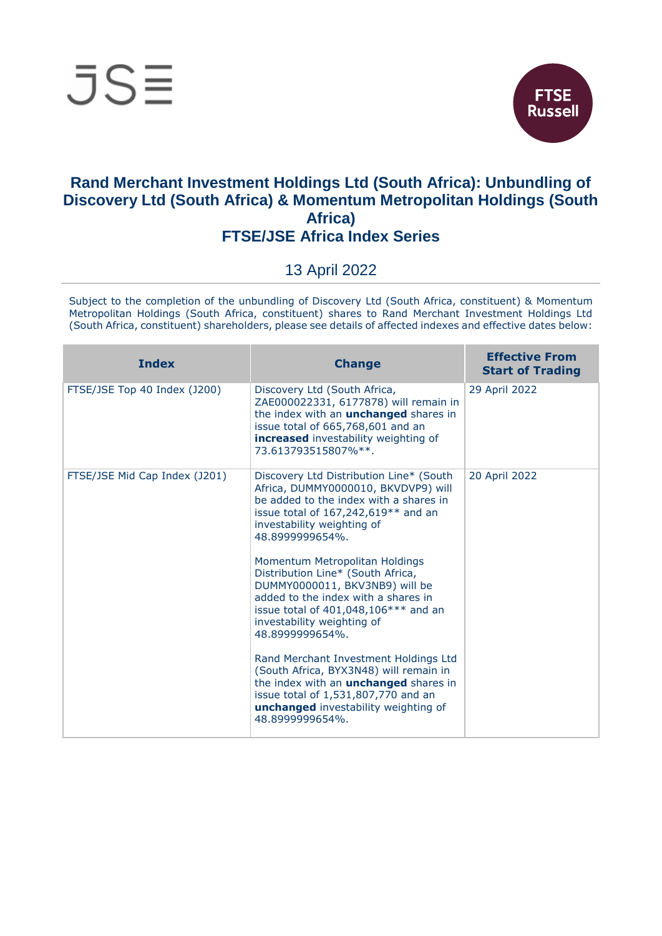



## **Rand Merchant Investment Holdings Ltd (South Africa): Unbundling of Discovery Ltd (South Africa) & Momentum Metropolitan Holdings (South Africa) FTSE/JSE Africa Index Series**

## 13 April 2022

Subject to the completion of the unbundling of Discovery Ltd (South Africa, constituent) & Momentum Metropolitan Holdings (South Africa, constituent) shares to Rand Merchant Investment Holdings Ltd (South Africa, constituent) shareholders, please see details of affected indexes and effective dates below:

| <b>Index</b>                  | <b>Change</b>                                                                                                                                                                                                                                                                                                                                                                                                                                                                                                                                                                                                                                                                                      | <b>Effective From</b><br><b>Start of Trading</b> |
|-------------------------------|----------------------------------------------------------------------------------------------------------------------------------------------------------------------------------------------------------------------------------------------------------------------------------------------------------------------------------------------------------------------------------------------------------------------------------------------------------------------------------------------------------------------------------------------------------------------------------------------------------------------------------------------------------------------------------------------------|--------------------------------------------------|
| FTSE/JSE Top 40 Index (J200)  | Discovery Ltd (South Africa,<br>ZAE000022331, 6177878) will remain in<br>the index with an <b>unchanged</b> shares in<br>issue total of 665,768,601 and an<br><b>increased</b> investability weighting of<br>73.613793515807%**.                                                                                                                                                                                                                                                                                                                                                                                                                                                                   | 29 April 2022                                    |
| FTSE/JSE Mid Cap Index (J201) | Discovery Ltd Distribution Line* (South<br>Africa, DUMMY0000010, BKVDVP9) will<br>be added to the index with a shares in<br>issue total of $167,242,619**$ and an<br>investability weighting of<br>48.8999999654%.<br>Momentum Metropolitan Holdings<br>Distribution Line* (South Africa,<br>DUMMY0000011, BKV3NB9) will be<br>added to the index with a shares in<br>issue total of $401,048,106***$ and an<br>investability weighting of<br>48.8999999654%.<br>Rand Merchant Investment Holdings Ltd<br>(South Africa, BYX3N48) will remain in<br>the index with an <b>unchanged</b> shares in<br>issue total of 1,531,807,770 and an<br>unchanged investability weighting of<br>48.8999999654%. | 20 April 2022                                    |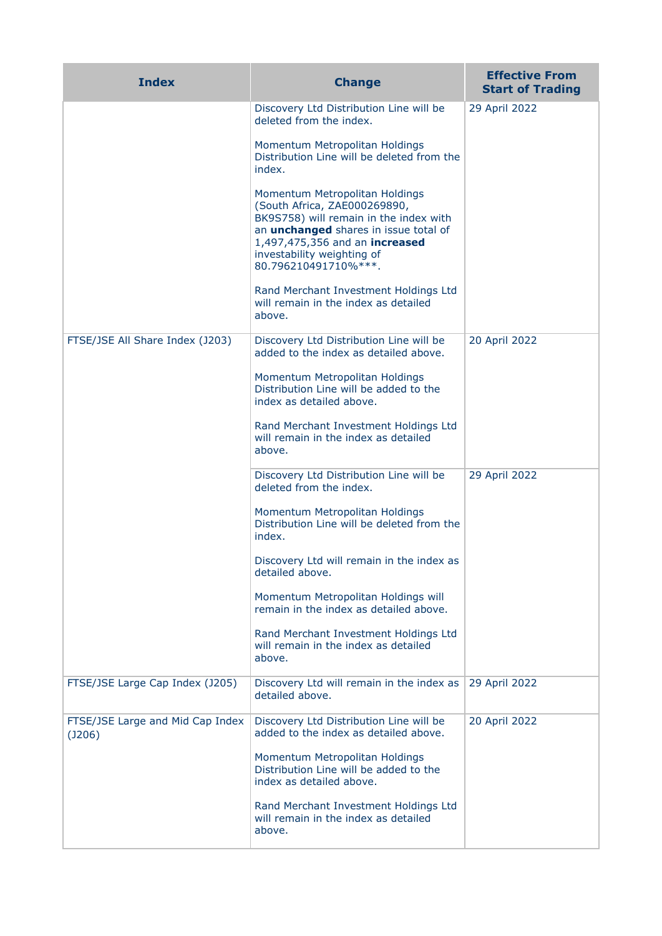| <b>Index</b>                               | <b>Change</b>                                                                                                                                                                                                                                    | <b>Effective From</b><br><b>Start of Trading</b> |
|--------------------------------------------|--------------------------------------------------------------------------------------------------------------------------------------------------------------------------------------------------------------------------------------------------|--------------------------------------------------|
|                                            | Discovery Ltd Distribution Line will be<br>deleted from the index.                                                                                                                                                                               | 29 April 2022                                    |
|                                            | Momentum Metropolitan Holdings<br>Distribution Line will be deleted from the<br>index.                                                                                                                                                           |                                                  |
|                                            | Momentum Metropolitan Holdings<br>(South Africa, ZAE000269890,<br>BK9S758) will remain in the index with<br>an <i>unchanged</i> shares in issue total of<br>1,497,475,356 and an increased<br>investability weighting of<br>80.796210491710%***. |                                                  |
|                                            | Rand Merchant Investment Holdings Ltd<br>will remain in the index as detailed<br>above.                                                                                                                                                          |                                                  |
| FTSE/JSE All Share Index (J203)            | Discovery Ltd Distribution Line will be<br>added to the index as detailed above.                                                                                                                                                                 | 20 April 2022                                    |
|                                            | Momentum Metropolitan Holdings<br>Distribution Line will be added to the<br>index as detailed above.                                                                                                                                             |                                                  |
|                                            | Rand Merchant Investment Holdings Ltd<br>will remain in the index as detailed<br>above.                                                                                                                                                          |                                                  |
|                                            | Discovery Ltd Distribution Line will be<br>deleted from the index.                                                                                                                                                                               | 29 April 2022                                    |
|                                            | Momentum Metropolitan Holdings<br>Distribution Line will be deleted from the<br>index.                                                                                                                                                           |                                                  |
|                                            | Discovery Ltd will remain in the index as<br>detailed above.                                                                                                                                                                                     |                                                  |
|                                            | Momentum Metropolitan Holdings will<br>remain in the index as detailed above.                                                                                                                                                                    |                                                  |
|                                            | Rand Merchant Investment Holdings Ltd<br>will remain in the index as detailed<br>above.                                                                                                                                                          |                                                  |
| FTSE/JSE Large Cap Index (J205)            | Discovery Ltd will remain in the index as<br>detailed above.                                                                                                                                                                                     | 29 April 2022                                    |
| FTSE/JSE Large and Mid Cap Index<br>(J206) | Discovery Ltd Distribution Line will be<br>added to the index as detailed above.                                                                                                                                                                 | 20 April 2022                                    |
|                                            | Momentum Metropolitan Holdings<br>Distribution Line will be added to the<br>index as detailed above.                                                                                                                                             |                                                  |
|                                            | Rand Merchant Investment Holdings Ltd<br>will remain in the index as detailed<br>above.                                                                                                                                                          |                                                  |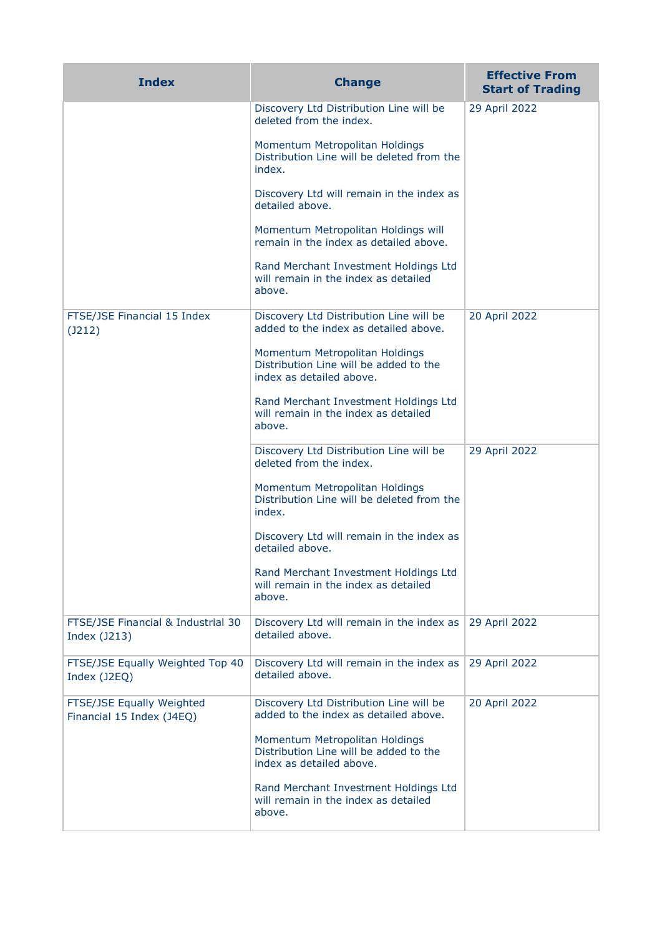| <b>Index</b>                                           | <b>Change</b>                                                                                        | <b>Effective From</b><br><b>Start of Trading</b> |
|--------------------------------------------------------|------------------------------------------------------------------------------------------------------|--------------------------------------------------|
|                                                        | Discovery Ltd Distribution Line will be<br>deleted from the index.                                   | 29 April 2022                                    |
|                                                        | Momentum Metropolitan Holdings<br>Distribution Line will be deleted from the<br>index.               |                                                  |
|                                                        | Discovery Ltd will remain in the index as<br>detailed above.                                         |                                                  |
|                                                        | Momentum Metropolitan Holdings will<br>remain in the index as detailed above.                        |                                                  |
|                                                        | Rand Merchant Investment Holdings Ltd<br>will remain in the index as detailed<br>above.              |                                                  |
| FTSE/JSE Financial 15 Index<br>$($ J212 $)$            | Discovery Ltd Distribution Line will be<br>added to the index as detailed above.                     | 20 April 2022                                    |
|                                                        | Momentum Metropolitan Holdings<br>Distribution Line will be added to the<br>index as detailed above. |                                                  |
|                                                        | Rand Merchant Investment Holdings Ltd<br>will remain in the index as detailed<br>above.              |                                                  |
|                                                        | Discovery Ltd Distribution Line will be<br>deleted from the index.                                   | 29 April 2022                                    |
|                                                        | Momentum Metropolitan Holdings<br>Distribution Line will be deleted from the<br>index.               |                                                  |
|                                                        | Discovery Ltd will remain in the index as<br>detailed above.                                         |                                                  |
|                                                        | Rand Merchant Investment Holdings Ltd<br>will remain in the index as detailed<br>above.              |                                                  |
| FTSE/JSE Financial & Industrial 30<br>Index (J213)     | Discovery Ltd will remain in the index as<br>detailed above.                                         | 29 April 2022                                    |
| FTSE/JSE Equally Weighted Top 40<br>Index (J2EQ)       | Discovery Ltd will remain in the index as<br>detailed above.                                         | 29 April 2022                                    |
| FTSE/JSE Equally Weighted<br>Financial 15 Index (J4EQ) | Discovery Ltd Distribution Line will be<br>added to the index as detailed above.                     | 20 April 2022                                    |
|                                                        | Momentum Metropolitan Holdings<br>Distribution Line will be added to the<br>index as detailed above. |                                                  |
|                                                        | Rand Merchant Investment Holdings Ltd<br>will remain in the index as detailed<br>above.              |                                                  |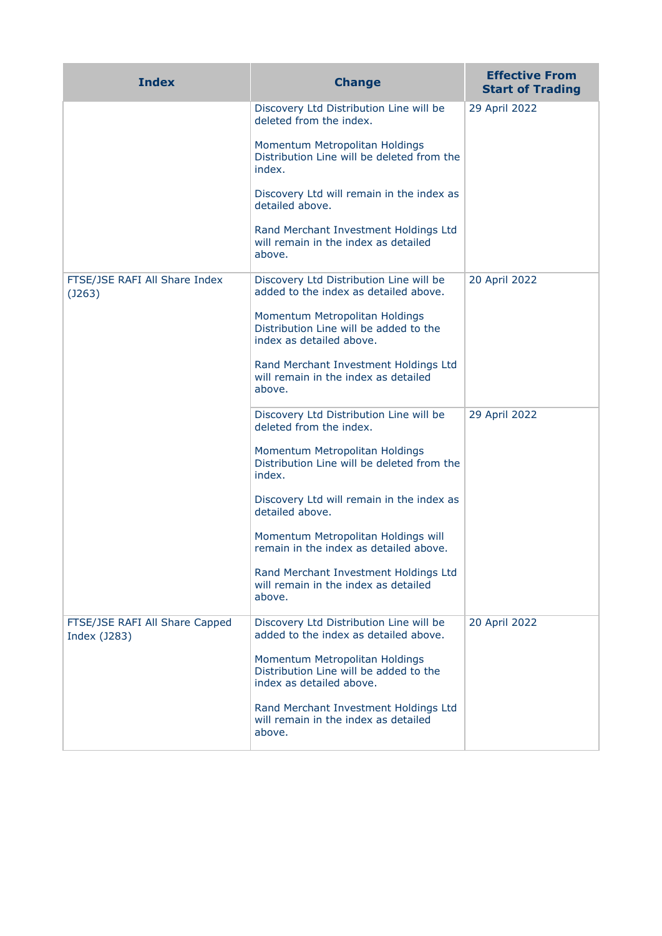| <b>Index</b>                                   | <b>Change</b>                                                                                        | <b>Effective From</b><br><b>Start of Trading</b> |
|------------------------------------------------|------------------------------------------------------------------------------------------------------|--------------------------------------------------|
|                                                | Discovery Ltd Distribution Line will be<br>deleted from the index.                                   | 29 April 2022                                    |
|                                                | Momentum Metropolitan Holdings<br>Distribution Line will be deleted from the<br>index.               |                                                  |
|                                                | Discovery Ltd will remain in the index as<br>detailed above.                                         |                                                  |
|                                                | Rand Merchant Investment Holdings Ltd<br>will remain in the index as detailed<br>above.              |                                                  |
| FTSE/JSE RAFI All Share Index<br>(J263)        | Discovery Ltd Distribution Line will be<br>added to the index as detailed above.                     | 20 April 2022                                    |
|                                                | Momentum Metropolitan Holdings<br>Distribution Line will be added to the<br>index as detailed above. |                                                  |
|                                                | Rand Merchant Investment Holdings Ltd<br>will remain in the index as detailed<br>above.              |                                                  |
|                                                | Discovery Ltd Distribution Line will be<br>deleted from the index.                                   | 29 April 2022                                    |
|                                                | Momentum Metropolitan Holdings<br>Distribution Line will be deleted from the<br>index.               |                                                  |
|                                                | Discovery Ltd will remain in the index as<br>detailed above.                                         |                                                  |
|                                                | Momentum Metropolitan Holdings will<br>remain in the index as detailed above.                        |                                                  |
|                                                | Rand Merchant Investment Holdings Ltd<br>will remain in the index as detailed<br>above.              |                                                  |
| FTSE/JSE RAFI All Share Capped<br>Index (J283) | Discovery Ltd Distribution Line will be<br>added to the index as detailed above.                     | 20 April 2022                                    |
|                                                | Momentum Metropolitan Holdings<br>Distribution Line will be added to the<br>index as detailed above. |                                                  |
|                                                | Rand Merchant Investment Holdings Ltd<br>will remain in the index as detailed<br>above.              |                                                  |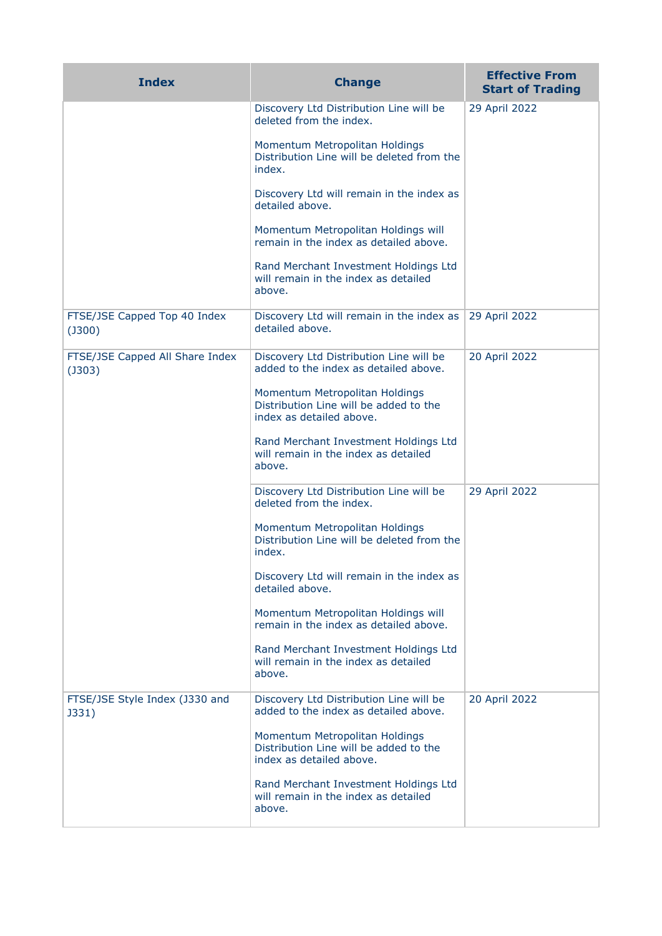| <b>Index</b>                                    | <b>Change</b>                                                                                        | <b>Effective From</b><br><b>Start of Trading</b> |
|-------------------------------------------------|------------------------------------------------------------------------------------------------------|--------------------------------------------------|
|                                                 | Discovery Ltd Distribution Line will be<br>deleted from the index.                                   | 29 April 2022                                    |
|                                                 | Momentum Metropolitan Holdings<br>Distribution Line will be deleted from the<br>index.               |                                                  |
|                                                 | Discovery Ltd will remain in the index as<br>detailed above.                                         |                                                  |
|                                                 | Momentum Metropolitan Holdings will<br>remain in the index as detailed above.                        |                                                  |
|                                                 | Rand Merchant Investment Holdings Ltd<br>will remain in the index as detailed<br>above.              |                                                  |
| FTSE/JSE Capped Top 40 Index<br>$($ J300 $)$    | Discovery Ltd will remain in the index as<br>detailed above.                                         | 29 April 2022                                    |
| FTSE/JSE Capped All Share Index<br>$($ J303 $)$ | Discovery Ltd Distribution Line will be<br>added to the index as detailed above.                     | 20 April 2022                                    |
|                                                 | Momentum Metropolitan Holdings<br>Distribution Line will be added to the<br>index as detailed above. |                                                  |
|                                                 | Rand Merchant Investment Holdings Ltd<br>will remain in the index as detailed<br>above.              |                                                  |
|                                                 | Discovery Ltd Distribution Line will be<br>deleted from the index.                                   | 29 April 2022                                    |
|                                                 | Momentum Metropolitan Holdings<br>Distribution Line will be deleted from the<br>index.               |                                                  |
|                                                 | Discovery Ltd will remain in the index as<br>detailed above.                                         |                                                  |
|                                                 | Momentum Metropolitan Holdings will<br>remain in the index as detailed above.                        |                                                  |
|                                                 | Rand Merchant Investment Holdings Ltd<br>will remain in the index as detailed<br>above.              |                                                  |
| FTSE/JSE Style Index (J330 and<br>J331)         | Discovery Ltd Distribution Line will be<br>added to the index as detailed above.                     | 20 April 2022                                    |
|                                                 | Momentum Metropolitan Holdings<br>Distribution Line will be added to the<br>index as detailed above. |                                                  |
|                                                 | Rand Merchant Investment Holdings Ltd<br>will remain in the index as detailed<br>above.              |                                                  |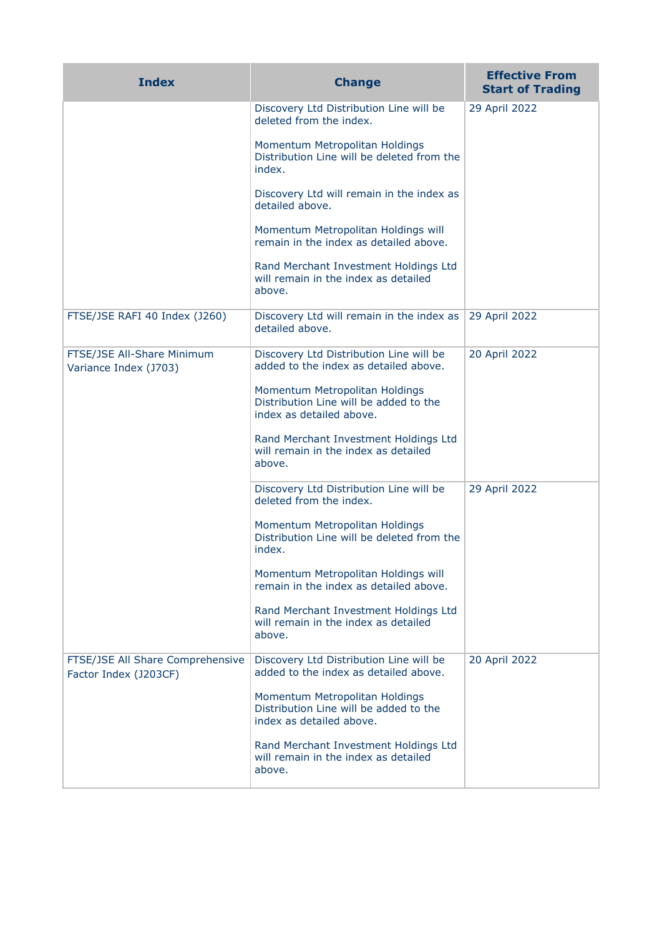| <b>Index</b>                                              | <b>Change</b>                                                                                        | <b>Effective From</b><br><b>Start of Trading</b> |
|-----------------------------------------------------------|------------------------------------------------------------------------------------------------------|--------------------------------------------------|
|                                                           | Discovery Ltd Distribution Line will be<br>deleted from the index.                                   | 29 April 2022                                    |
|                                                           | Momentum Metropolitan Holdings<br>Distribution Line will be deleted from the<br>index.               |                                                  |
|                                                           | Discovery Ltd will remain in the index as<br>detailed above.                                         |                                                  |
|                                                           | Momentum Metropolitan Holdings will<br>remain in the index as detailed above.                        |                                                  |
|                                                           | Rand Merchant Investment Holdings Ltd<br>will remain in the index as detailed<br>above.              |                                                  |
| FTSE/JSE RAFI 40 Index (J260)                             | Discovery Ltd will remain in the index as<br>detailed above.                                         | 29 April 2022                                    |
| FTSE/JSE All-Share Minimum<br>Variance Index (J703)       | Discovery Ltd Distribution Line will be<br>added to the index as detailed above.                     | 20 April 2022                                    |
|                                                           | Momentum Metropolitan Holdings<br>Distribution Line will be added to the<br>index as detailed above. |                                                  |
|                                                           | Rand Merchant Investment Holdings Ltd<br>will remain in the index as detailed<br>above.              |                                                  |
|                                                           | Discovery Ltd Distribution Line will be<br>deleted from the index.                                   | 29 April 2022                                    |
|                                                           | Momentum Metropolitan Holdings<br>Distribution Line will be deleted from the<br>index.               |                                                  |
|                                                           | Momentum Metropolitan Holdings will<br>remain in the index as detailed above.                        |                                                  |
|                                                           | Rand Merchant Investment Holdings Ltd<br>will remain in the index as detailed<br>above.              |                                                  |
| FTSE/JSE All Share Comprehensive<br>Factor Index (J203CF) | Discovery Ltd Distribution Line will be<br>added to the index as detailed above.                     | 20 April 2022                                    |
|                                                           | Momentum Metropolitan Holdings<br>Distribution Line will be added to the<br>index as detailed above. |                                                  |
|                                                           | Rand Merchant Investment Holdings Ltd<br>will remain in the index as detailed<br>above.              |                                                  |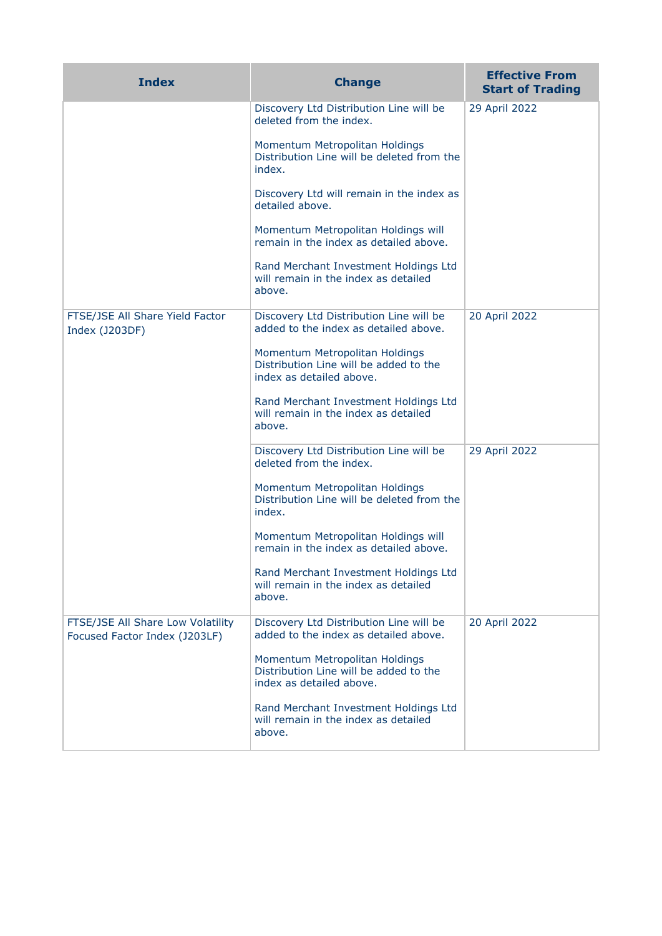| <b>Index</b>                                                       | <b>Change</b>                                                                                        | <b>Effective From</b><br><b>Start of Trading</b> |
|--------------------------------------------------------------------|------------------------------------------------------------------------------------------------------|--------------------------------------------------|
|                                                                    | Discovery Ltd Distribution Line will be<br>deleted from the index.                                   | 29 April 2022                                    |
|                                                                    | Momentum Metropolitan Holdings<br>Distribution Line will be deleted from the<br>index.               |                                                  |
|                                                                    | Discovery Ltd will remain in the index as<br>detailed above.                                         |                                                  |
|                                                                    | Momentum Metropolitan Holdings will<br>remain in the index as detailed above.                        |                                                  |
|                                                                    | Rand Merchant Investment Holdings Ltd<br>will remain in the index as detailed<br>above.              |                                                  |
| FTSE/JSE All Share Yield Factor<br>Index (J203DF)                  | Discovery Ltd Distribution Line will be<br>added to the index as detailed above.                     | 20 April 2022                                    |
|                                                                    | Momentum Metropolitan Holdings<br>Distribution Line will be added to the<br>index as detailed above. |                                                  |
|                                                                    | Rand Merchant Investment Holdings Ltd<br>will remain in the index as detailed<br>above.              |                                                  |
|                                                                    | Discovery Ltd Distribution Line will be<br>deleted from the index.                                   | 29 April 2022                                    |
|                                                                    | Momentum Metropolitan Holdings<br>Distribution Line will be deleted from the<br>index.               |                                                  |
|                                                                    | Momentum Metropolitan Holdings will<br>remain in the index as detailed above.                        |                                                  |
|                                                                    | Rand Merchant Investment Holdings Ltd<br>will remain in the index as detailed<br>above.              |                                                  |
| FTSE/JSE All Share Low Volatility<br>Focused Factor Index (J203LF) | Discovery Ltd Distribution Line will be<br>added to the index as detailed above.                     | 20 April 2022                                    |
|                                                                    | Momentum Metropolitan Holdings<br>Distribution Line will be added to the<br>index as detailed above. |                                                  |
|                                                                    | Rand Merchant Investment Holdings Ltd<br>will remain in the index as detailed<br>above.              |                                                  |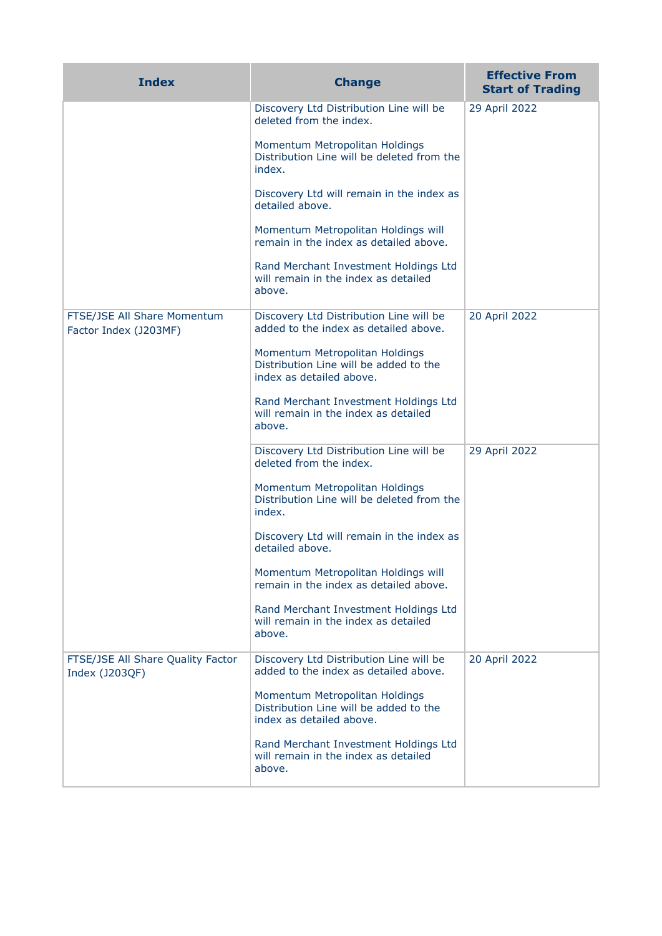| <b>Index</b>                                         | <b>Change</b>                                                                                        | <b>Effective From</b><br><b>Start of Trading</b> |
|------------------------------------------------------|------------------------------------------------------------------------------------------------------|--------------------------------------------------|
|                                                      | Discovery Ltd Distribution Line will be<br>deleted from the index.                                   | 29 April 2022                                    |
|                                                      | Momentum Metropolitan Holdings<br>Distribution Line will be deleted from the<br>index.               |                                                  |
|                                                      | Discovery Ltd will remain in the index as<br>detailed above.                                         |                                                  |
|                                                      | Momentum Metropolitan Holdings will<br>remain in the index as detailed above.                        |                                                  |
|                                                      | Rand Merchant Investment Holdings Ltd<br>will remain in the index as detailed<br>above.              |                                                  |
| FTSE/JSE All Share Momentum<br>Factor Index (J203MF) | Discovery Ltd Distribution Line will be<br>added to the index as detailed above.                     | 20 April 2022                                    |
|                                                      | Momentum Metropolitan Holdings<br>Distribution Line will be added to the<br>index as detailed above. |                                                  |
|                                                      | Rand Merchant Investment Holdings Ltd<br>will remain in the index as detailed<br>above.              |                                                  |
|                                                      | Discovery Ltd Distribution Line will be<br>deleted from the index.                                   | 29 April 2022                                    |
|                                                      | Momentum Metropolitan Holdings<br>Distribution Line will be deleted from the<br>index.               |                                                  |
|                                                      | Discovery Ltd will remain in the index as<br>detailed above.                                         |                                                  |
|                                                      | Momentum Metropolitan Holdings will<br>remain in the index as detailed above.                        |                                                  |
|                                                      | Rand Merchant Investment Holdings Ltd<br>will remain in the index as detailed<br>above.              |                                                  |
| FTSE/JSE All Share Quality Factor<br>Index (J203QF)  | Discovery Ltd Distribution Line will be<br>added to the index as detailed above.                     | 20 April 2022                                    |
|                                                      | Momentum Metropolitan Holdings<br>Distribution Line will be added to the<br>index as detailed above. |                                                  |
|                                                      | Rand Merchant Investment Holdings Ltd<br>will remain in the index as detailed<br>above.              |                                                  |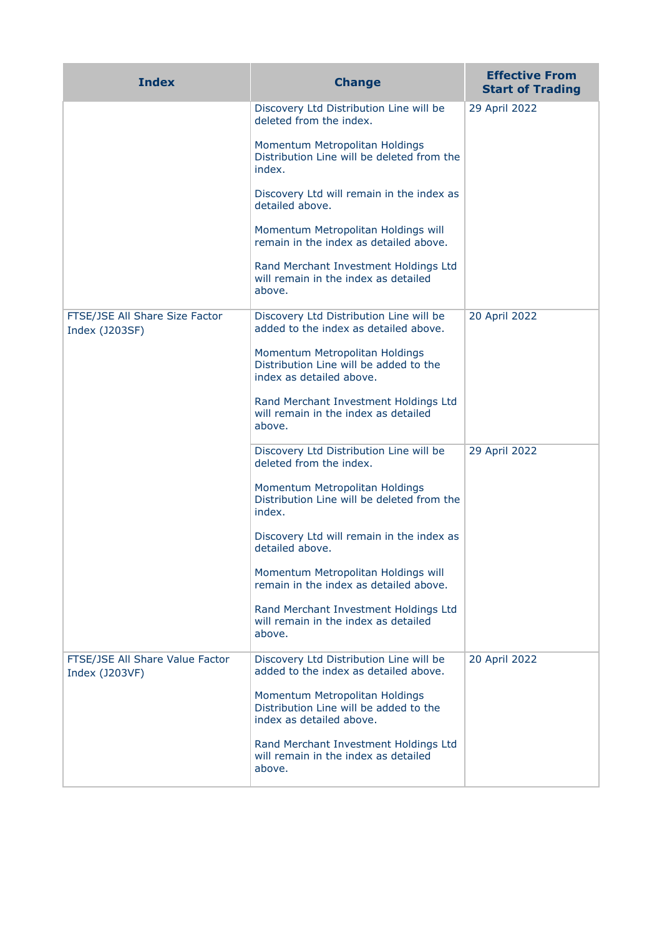| <b>Index</b>                                      | <b>Change</b>                                                                                        | <b>Effective From</b><br><b>Start of Trading</b> |
|---------------------------------------------------|------------------------------------------------------------------------------------------------------|--------------------------------------------------|
|                                                   | Discovery Ltd Distribution Line will be<br>deleted from the index.                                   | 29 April 2022                                    |
|                                                   | Momentum Metropolitan Holdings<br>Distribution Line will be deleted from the<br>index.               |                                                  |
|                                                   | Discovery Ltd will remain in the index as<br>detailed above.                                         |                                                  |
|                                                   | Momentum Metropolitan Holdings will<br>remain in the index as detailed above.                        |                                                  |
|                                                   | Rand Merchant Investment Holdings Ltd<br>will remain in the index as detailed<br>above.              |                                                  |
| FTSE/JSE All Share Size Factor<br>Index (J203SF)  | Discovery Ltd Distribution Line will be<br>added to the index as detailed above.                     | 20 April 2022                                    |
|                                                   | Momentum Metropolitan Holdings<br>Distribution Line will be added to the<br>index as detailed above. |                                                  |
|                                                   | Rand Merchant Investment Holdings Ltd<br>will remain in the index as detailed<br>above.              |                                                  |
|                                                   | Discovery Ltd Distribution Line will be<br>deleted from the index.                                   | 29 April 2022                                    |
|                                                   | Momentum Metropolitan Holdings<br>Distribution Line will be deleted from the<br>index.               |                                                  |
|                                                   | Discovery Ltd will remain in the index as<br>detailed above.                                         |                                                  |
|                                                   | Momentum Metropolitan Holdings will<br>remain in the index as detailed above.                        |                                                  |
|                                                   | Rand Merchant Investment Holdings Ltd<br>will remain in the index as detailed<br>above.              |                                                  |
| FTSE/JSE All Share Value Factor<br>Index (J203VF) | Discovery Ltd Distribution Line will be<br>added to the index as detailed above.                     | 20 April 2022                                    |
|                                                   | Momentum Metropolitan Holdings<br>Distribution Line will be added to the<br>index as detailed above. |                                                  |
|                                                   | Rand Merchant Investment Holdings Ltd<br>will remain in the index as detailed<br>above.              |                                                  |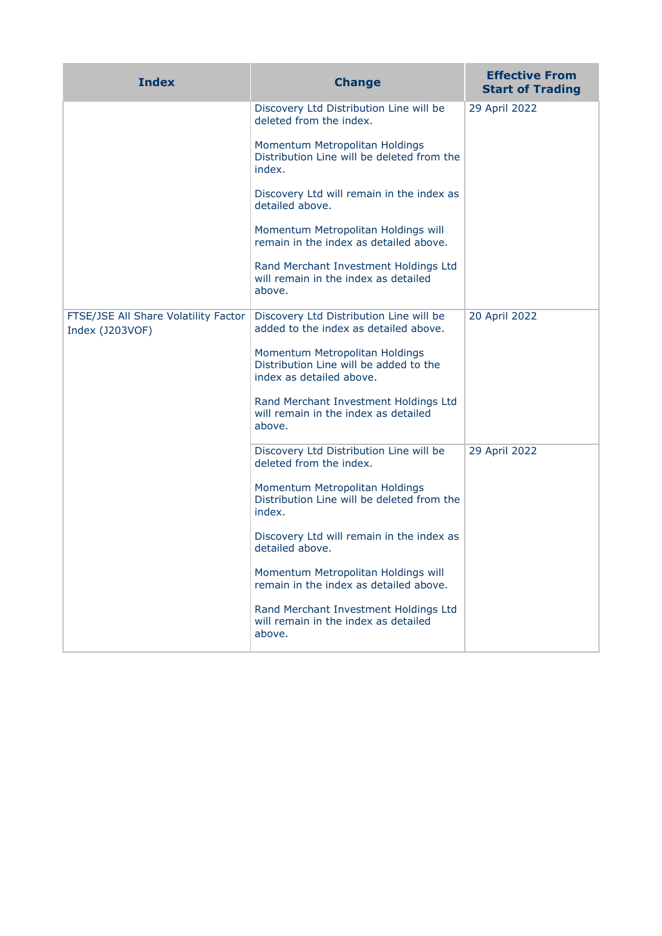| <b>Index</b>                                            | <b>Change</b>                                                                                        | <b>Effective From</b><br><b>Start of Trading</b> |
|---------------------------------------------------------|------------------------------------------------------------------------------------------------------|--------------------------------------------------|
|                                                         | Discovery Ltd Distribution Line will be<br>deleted from the index.                                   | 29 April 2022                                    |
|                                                         | Momentum Metropolitan Holdings<br>Distribution Line will be deleted from the<br>index.               |                                                  |
|                                                         | Discovery Ltd will remain in the index as<br>detailed above.                                         |                                                  |
|                                                         | Momentum Metropolitan Holdings will<br>remain in the index as detailed above.                        |                                                  |
|                                                         | Rand Merchant Investment Holdings Ltd<br>will remain in the index as detailed<br>above.              |                                                  |
| FTSE/JSE All Share Volatility Factor<br>Index (J203VOF) | Discovery Ltd Distribution Line will be<br>added to the index as detailed above.                     | 20 April 2022                                    |
|                                                         | Momentum Metropolitan Holdings<br>Distribution Line will be added to the<br>index as detailed above. |                                                  |
|                                                         | Rand Merchant Investment Holdings Ltd<br>will remain in the index as detailed<br>above.              |                                                  |
|                                                         | Discovery Ltd Distribution Line will be<br>deleted from the index.                                   | 29 April 2022                                    |
|                                                         | Momentum Metropolitan Holdings<br>Distribution Line will be deleted from the<br>index.               |                                                  |
|                                                         | Discovery Ltd will remain in the index as<br>detailed above.                                         |                                                  |
|                                                         | Momentum Metropolitan Holdings will<br>remain in the index as detailed above.                        |                                                  |
|                                                         | Rand Merchant Investment Holdings Ltd<br>will remain in the index as detailed<br>above.              |                                                  |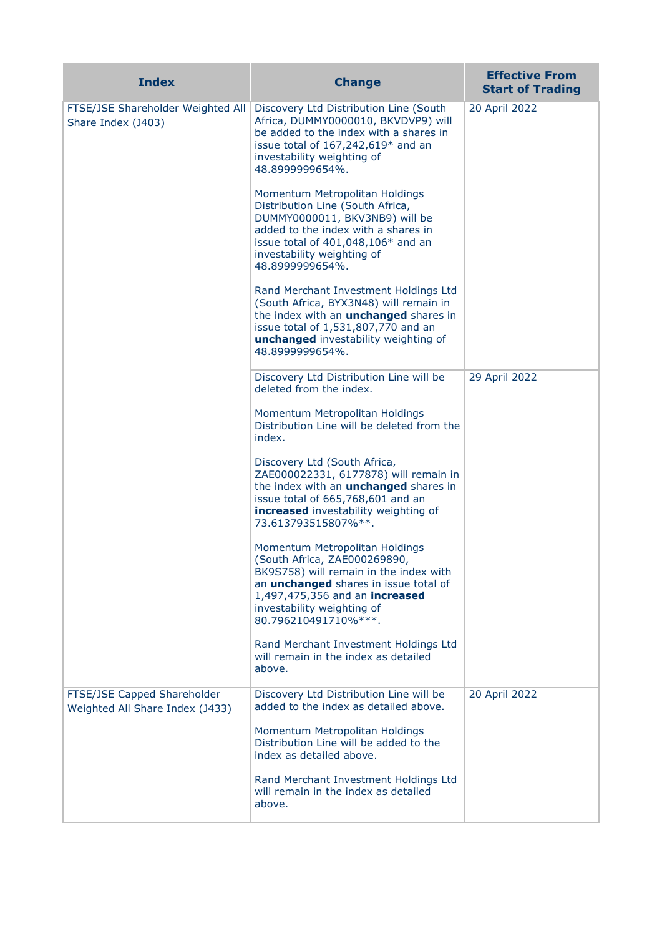| <b>Index</b>                                                   | <b>Change</b>                                                                                                                                                                                                                                    | <b>Effective From</b><br><b>Start of Trading</b> |
|----------------------------------------------------------------|--------------------------------------------------------------------------------------------------------------------------------------------------------------------------------------------------------------------------------------------------|--------------------------------------------------|
| FTSE/JSE Shareholder Weighted All<br>Share Index (J403)        | Discovery Ltd Distribution Line (South<br>Africa, DUMMY0000010, BKVDVP9) will<br>be added to the index with a shares in<br>issue total of $167,242,619*$ and an<br>investability weighting of<br>48.8999999654%.                                 | 20 April 2022                                    |
|                                                                | Momentum Metropolitan Holdings<br>Distribution Line (South Africa,<br>DUMMY0000011, BKV3NB9) will be<br>added to the index with a shares in<br>issue total of 401,048,106* and an<br>investability weighting of<br>48.8999999654%.               |                                                  |
|                                                                | Rand Merchant Investment Holdings Ltd<br>(South Africa, BYX3N48) will remain in<br>the index with an <b>unchanged</b> shares in<br>issue total of 1,531,807,770 and an<br>unchanged investability weighting of<br>48.8999999654%.                |                                                  |
|                                                                | Discovery Ltd Distribution Line will be<br>deleted from the index.                                                                                                                                                                               | 29 April 2022                                    |
|                                                                | Momentum Metropolitan Holdings<br>Distribution Line will be deleted from the<br>index.                                                                                                                                                           |                                                  |
|                                                                | Discovery Ltd (South Africa,<br>ZAE000022331, 6177878) will remain in<br>the index with an <b>unchanged</b> shares in<br>issue total of 665,768,601 and an<br>increased investability weighting of<br>73.613793515807%**.                        |                                                  |
|                                                                | Momentum Metropolitan Holdings<br>(South Africa, ZAE000269890,<br>BK9S758) will remain in the index with<br>an <i>unchanged</i> shares in issue total of<br>1,497,475,356 and an increased<br>investability weighting of<br>80.796210491710%***. |                                                  |
|                                                                | Rand Merchant Investment Holdings Ltd<br>will remain in the index as detailed<br>above.                                                                                                                                                          |                                                  |
| FTSE/JSE Capped Shareholder<br>Weighted All Share Index (J433) | Discovery Ltd Distribution Line will be<br>added to the index as detailed above.                                                                                                                                                                 | 20 April 2022                                    |
|                                                                | Momentum Metropolitan Holdings<br>Distribution Line will be added to the<br>index as detailed above.                                                                                                                                             |                                                  |
|                                                                | Rand Merchant Investment Holdings Ltd<br>will remain in the index as detailed<br>above.                                                                                                                                                          |                                                  |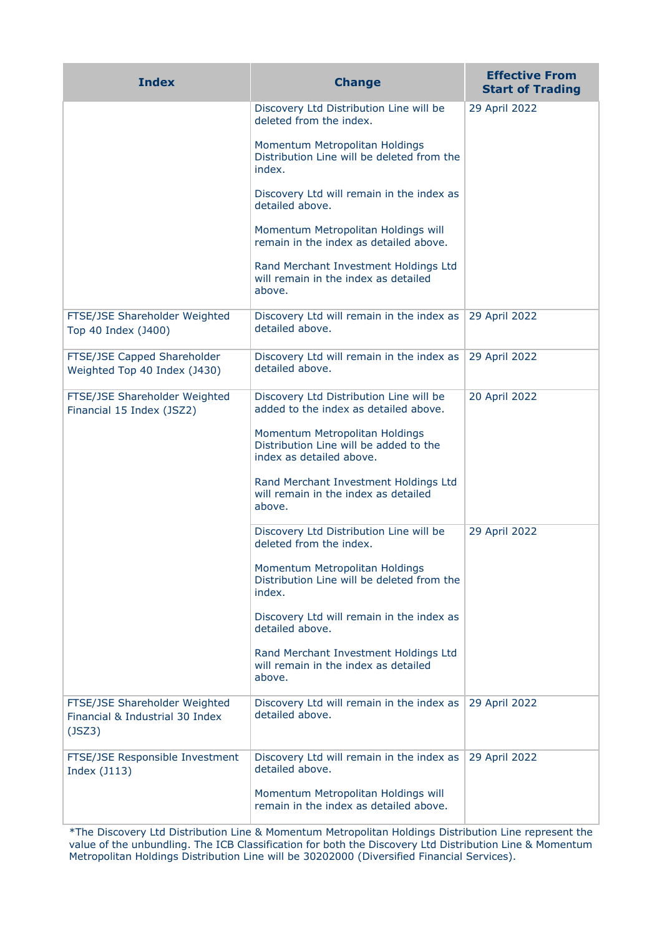| <b>Index</b>                                                               | <b>Change</b>                                                                                        | <b>Effective From</b><br><b>Start of Trading</b> |
|----------------------------------------------------------------------------|------------------------------------------------------------------------------------------------------|--------------------------------------------------|
|                                                                            | Discovery Ltd Distribution Line will be<br>deleted from the index.                                   | 29 April 2022                                    |
|                                                                            | Momentum Metropolitan Holdings<br>Distribution Line will be deleted from the<br>index.               |                                                  |
|                                                                            | Discovery Ltd will remain in the index as<br>detailed above.                                         |                                                  |
|                                                                            | Momentum Metropolitan Holdings will<br>remain in the index as detailed above.                        |                                                  |
|                                                                            | Rand Merchant Investment Holdings Ltd<br>will remain in the index as detailed<br>above.              |                                                  |
| FTSE/JSE Shareholder Weighted<br>Top 40 Index (J400)                       | Discovery Ltd will remain in the index as<br>detailed above.                                         | 29 April 2022                                    |
| FTSE/JSE Capped Shareholder<br>Weighted Top 40 Index (J430)                | Discovery Ltd will remain in the index as<br>detailed above.                                         | 29 April 2022                                    |
| FTSE/JSE Shareholder Weighted<br>Financial 15 Index (JSZ2)                 | Discovery Ltd Distribution Line will be<br>added to the index as detailed above.                     | 20 April 2022                                    |
|                                                                            | Momentum Metropolitan Holdings<br>Distribution Line will be added to the<br>index as detailed above. |                                                  |
|                                                                            | Rand Merchant Investment Holdings Ltd<br>will remain in the index as detailed<br>above.              |                                                  |
|                                                                            | Discovery Ltd Distribution Line will be<br>deleted from the index.                                   | 29 April 2022                                    |
|                                                                            | Momentum Metropolitan Holdings<br>Distribution Line will be deleted from the<br>index.               |                                                  |
|                                                                            | Discovery Ltd will remain in the index as<br>detailed above.                                         |                                                  |
|                                                                            | Rand Merchant Investment Holdings Ltd<br>will remain in the index as detailed<br>above.              |                                                  |
| FTSE/JSE Shareholder Weighted<br>Financial & Industrial 30 Index<br>(JSZ3) | Discovery Ltd will remain in the index as<br>detailed above.                                         | 29 April 2022                                    |
| FTSE/JSE Responsible Investment<br>Index (J113)                            | Discovery Ltd will remain in the index as<br>detailed above.                                         | 29 April 2022                                    |
|                                                                            | Momentum Metropolitan Holdings will<br>remain in the index as detailed above.                        |                                                  |

\*The Discovery Ltd Distribution Line & Momentum Metropolitan Holdings Distribution Line represent the value of the unbundling. The ICB Classification for both the Discovery Ltd Distribution Line & Momentum Metropolitan Holdings Distribution Line will be 30202000 (Diversified Financial Services).